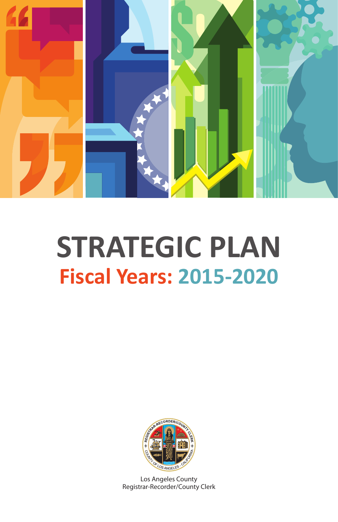

# **STRATEGIC PLAN Fiscal Years: 2015-2020**



Los Angeles County Registrar-Recorder/County Clerk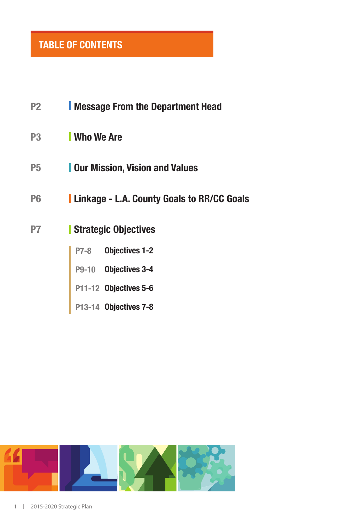### **TABLE OF CONTENTS**

| P2             | <b>Nessage From the Department Head</b>           |
|----------------|---------------------------------------------------|
| P3             | <b>Who We Are</b>                                 |
| P5             | <b>Our Mission, Vision and Values</b>             |
| P <sub>6</sub> | <b>Linkage - L.A. County Goals to RR/CC Goals</b> |
| P7             | Strategic Objectives                              |
|                | P7-8 Objectives 1-2                               |
|                | P9-10 Objectives 3-4                              |
|                | P11-12 Objectives 5-6                             |
|                | P13-14 Objectives 7-8                             |

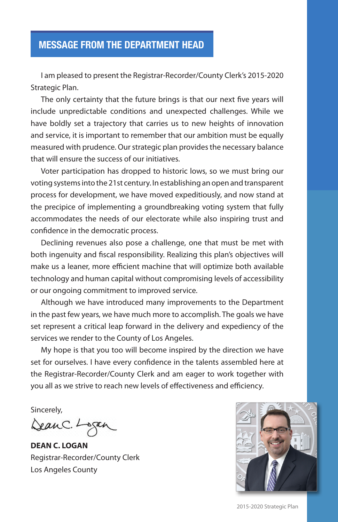#### **MESSAGE FROM THE DEPARTMENT HEAD**

I am pleased to present the Registrar-Recorder/County Clerk's 2015-2020 Strategic Plan.

The only certainty that the future brings is that our next five years will include unpredictable conditions and unexpected challenges. While we have boldly set a trajectory that carries us to new heights of innovation and service, it is important to remember that our ambition must be equally measured with prudence. Our strategic plan provides the necessary balance that will ensure the success of our initiatives.

Voter participation has dropped to historic lows, so we must bring our voting systems into the 21st century. In establishing an open and transparent process for development, we have moved expeditiously, and now stand at the precipice of implementing a groundbreaking voting system that fully accommodates the needs of our electorate while also inspiring trust and confidence in the democratic process.

Declining revenues also pose a challenge, one that must be met with both ingenuity and fiscal responsibility. Realizing this plan's objectives will make us a leaner, more efficient machine that will optimize both available technology and human capital without compromising levels of accessibility or our ongoing commitment to improved service.

Although we have introduced many improvements to the Department in the past few years, we have much more to accomplish. The goals we have set represent a critical leap forward in the delivery and expediency of the services we render to the County of Los Angeles.

My hope is that you too will become inspired by the direction we have set for ourselves. I have every confidence in the talents assembled here at the Registrar-Recorder/County Clerk and am eager to work together with you all as we strive to reach new levels of effectiveness and efficiency.

Sincerely,

DeanC. Logan

**DEAN C. LOGAN** Registrar-Recorder/County Clerk Los Angeles County



2015-2020 Strategic Plan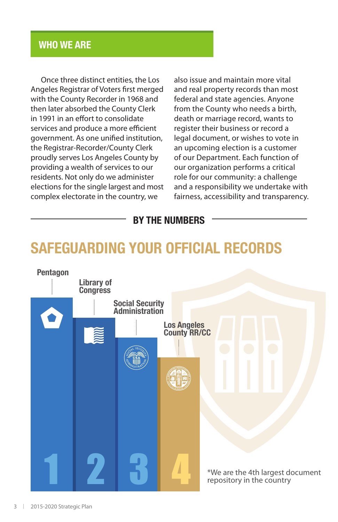#### **WHO WE ARE**

Once three distinct entities, the Los Angeles Registrar of Voters first merged with the County Recorder in 1968 and then later absorbed the County Clerk in 1991 in an effort to consolidate services and produce a more efficient government. As one unified institution, the Registrar-Recorder/County Clerk proudly serves Los Angeles County by providing a wealth of services to our residents. Not only do we administer elections for the single largest and most complex electorate in the country, we

also issue and maintain more vital and real property records than most federal and state agencies. Anyone from the County who needs a birth, death or marriage record, wants to register their business or record a legal document, or wishes to vote in an upcoming election is a customer of our Department. Each function of our organization performs a critical role for our community: a challenge and a responsibility we undertake with fairness, accessibility and transparency.

#### **BY THE NUMBERS**

# **SAFEGUARDING YOUR OFFICIAL RECORDS**

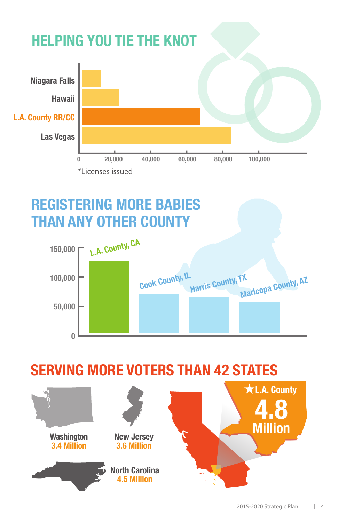

# **REGISTERING MORE BABIES THAN ANY OTHER COUNTY**



**SERVING MORE VOTERS THAN 42 STATES**

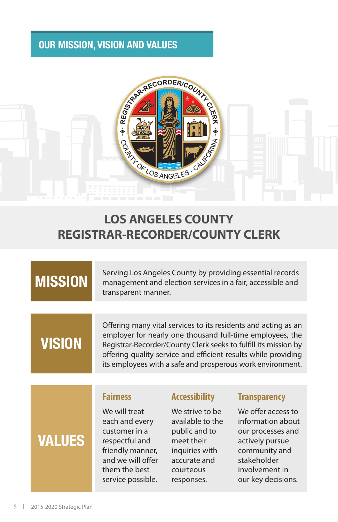#### **OUR MISSION, VISION AND VALUES**



### **LOS ANGELES COUNTY REGISTRAR-RECORDER/COUNTY CLERK**

# **MISSION**

Serving Los Angeles County by providing essential records management and election services in a fair, accessible and transparent manner.

# **VISION**

**VALUES**

Offering many vital services to its residents and acting as an employer for nearly one thousand full-time employees, the Registrar-Recorder/County Clerk seeks to fulfill its mission by offering quality service and efficient results while providing its employees with a safe and prosperous work environment.

#### **Fairness**

We will treat each and every customer in a respectful and friendly manner, and we will offer them the best service possible.

#### **Accessibility**

We strive to be available to the public and to meet their inquiries with accurate and courteous responses.

#### **Transparency**

We offer access to information about our processes and actively pursue community and stakeholder involvement in our key decisions.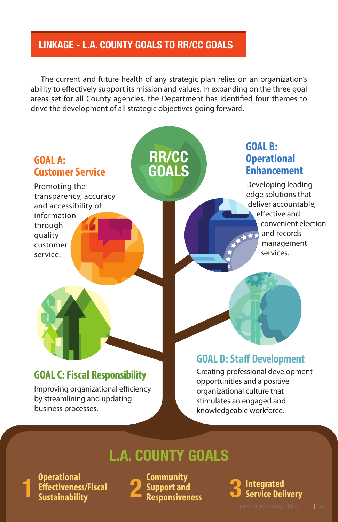#### **LINKAGE - L.A. COUNTY GOALS TO RR/CC GOALS**

The current and future health of any strategic plan relies on an organization's ability to effectively support its mission and values. In expanding on the three goal areas set for all County agencies, the Department has identified four themes to drive the development of all strategic objectives going forward.



Improving organizational efficiency by streamlining and updating business processes.

opportunities and a positive organizational culture that stimulates an engaged and knowledgeable workforce.

## **L.A. COUNTY GOALS**

**Operational Effectiveness/Fiscal 1 Sustainability** **Community Support and 2 Responsiveness**

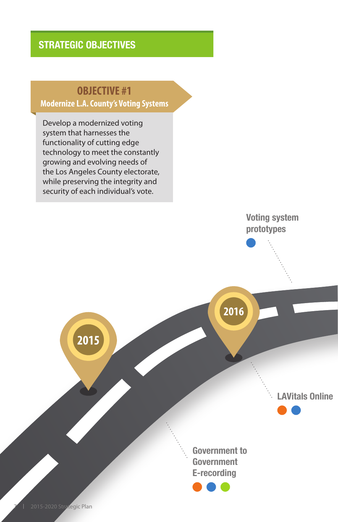### **OBJECTIVE #1**

#### **Modernize L.A. County's Voting Systems**

Develop a modernized voting system that harnesses the functionality of cutting edge technology to meet the constantly growing and evolving needs of the Los Angeles County electorate, while preserving the integrity and security of each individual's vote.

**2015**

**Voting system prototypes**

**2016**

**LAVitals Online**

**Government to Government E-recording**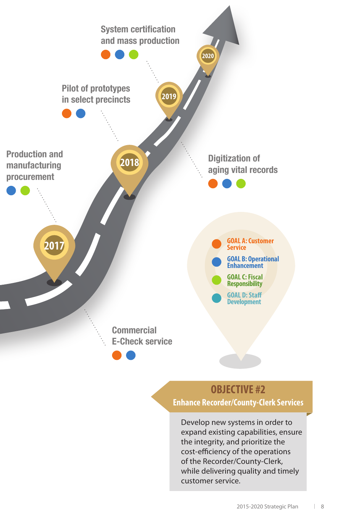

### **OBJECTIVE #2 Enhance Recorder/County-Clerk Services**

Develop new systems in order to expand existing capabilities, ensure the integrity, and prioritize the cost-efficiency of the operations of the Recorder/County-Clerk, while delivering quality and timely customer service.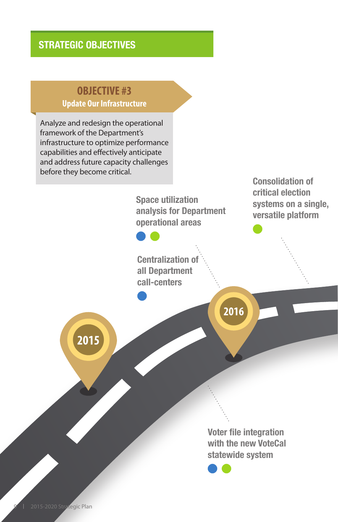#### **STRATEGIC OBJECTIVES**

#### **OBJECTIVE #3 Update Our Infrastructure**

Analyze and redesign the operational framework of the Department's infrastructure to optimize performance capabilities and effectively anticipate and address future capacity challenges before they become critical.

**2015**

**Space utilization analysis for Department operational areas**

**Centralization of all Department call-centers** 

**Consolidation of critical election systems on a single, versatile platform**

**2016**

**Voter file integration with the new VoteCal statewide system**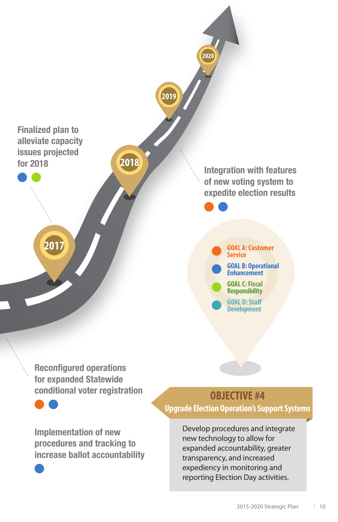

**Reconfigured operations for expanded Statewide conditional voter registration**

**Implementation of new procedures and tracking to increase ballot accountability**

### **OBJECTIVE #4**

**Upgrade Election Operation's Support Systems**

Develop procedures and integrate new technology to allow for expanded accountability, greater transparency, and increased expediency in monitoring and reporting Election Day activities.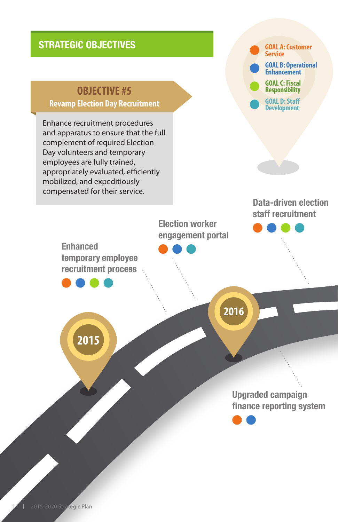#### **STRATEGIC OBJECTIVES**

### **OBJECTIVE #5**

#### **Revamp Election Day Recruitment**

Enhance recruitment procedures and apparatus to ensure that the full complement of required Election Day volunteers and temporary employees are fully trained, appropriately evaluated, efficiently mobilized, and expeditiously compensated for their service.

**GOAL A: Customer Service GOAL B: Operational Enhancement GOAL D: Staff Development GOAL C: Fiscal Responsibility**

#### **Data-driven election staff recruitment**

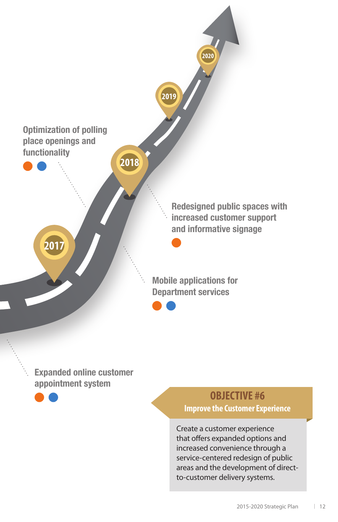

**Expanded online customer appointment system**



# **OBJECTIVE #6**

**Improve the Customer Experience**

Create a customer experience that offers expanded options and increased convenience through a service-centered redesign of public areas and the development of directto-customer delivery systems.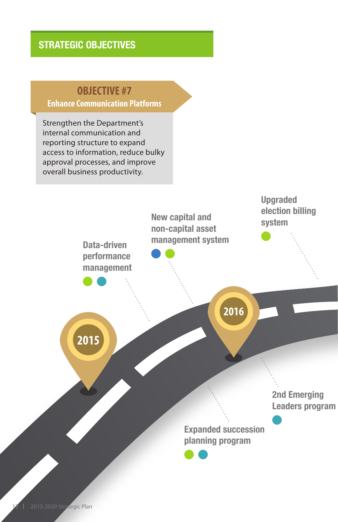#### **STRATEGIC OBJECTIVES**

### **OBJECTIVE #7**

**Enhance Communication Platforms**

Strengthen the Department's internal communication and reporting structure to expand access to information, reduce bulky approval processes, and improve overall business productivity.

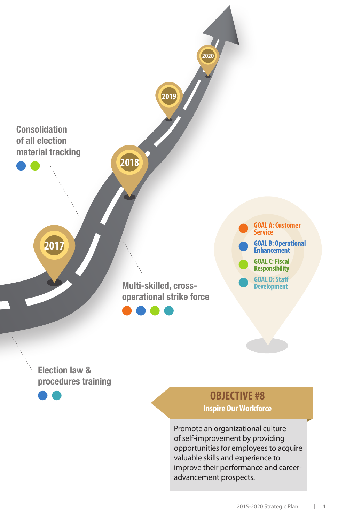

**Election law & procedures training**

> **OBJECTIVE #8 Inspire Our Workforce**

Promote an organizational culture of self-improvement by providing opportunities for employees to acquire valuable skills and experience to improve their performance and careeradvancement prospects.